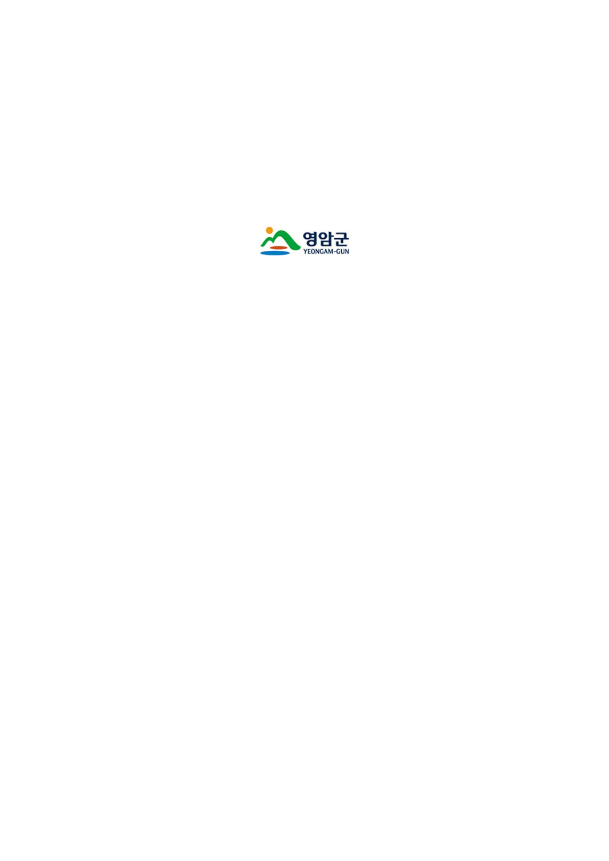